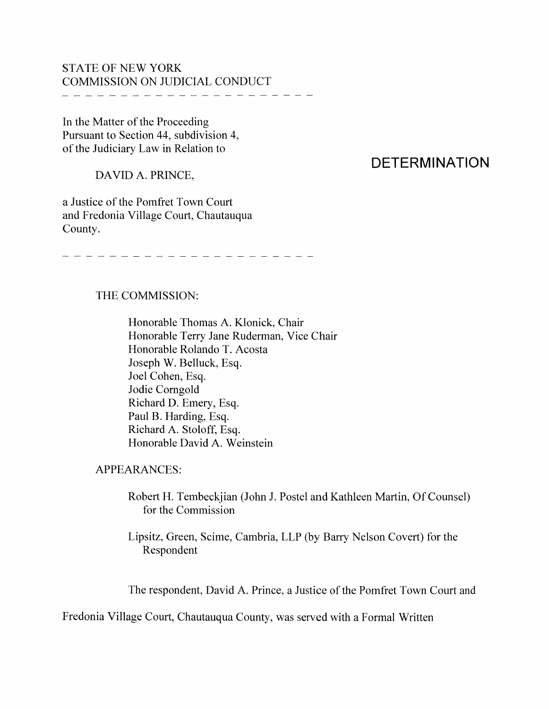## STATE OF NEW YORK COMMISSION ON JUDICIAL CONDUCT

In the Matter of the Proceeding Pursuant to Section 44, subdivision 4, of the Judiciary Law in Relation to

DAVID A. PRINCE,

## a Justice of the Pomfret Town Court and Fredonia Village Court, Chautauqua County.

**DETERMINATION**

and the state of the state and the state of the state of the state of the state of the state of the state of

## THE COMMISSION:

Honorable Thomas A. Klonick, Chair Honorable Terry Jane Ruderman, Vice Chair Honorable Rolando T. Acosta Joseph W. Belluck, Esq. Joel Cohen, Esq. Jodie Corngold Richard D. Emery, Esq. Paul B. Harding, Esq. Richard A. Stoloff, Esq. Honorable David A. Weinstein

APPEARANCES:

Robert H. Tembeckjian (John J. Postel and Kathleen Martin, Of Counsel) for the Commission

Lipsitz, Green, Scime, Cambria, LLP (by Barry Nelson Covert) for the Respondent

The respondent, David A. Prince, a Justice of the Pomfret Town Court and

Fredonia Village Court, Chautauqua County, was served with a Formal Written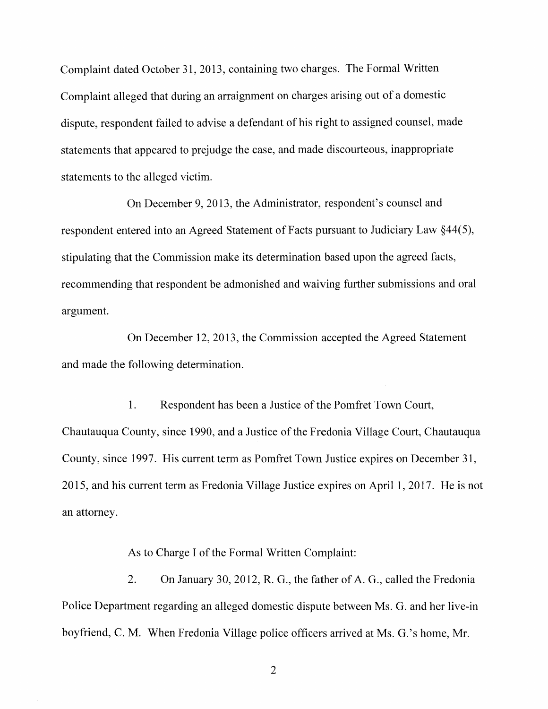Complaint dated October 31, 2013, containing two charges. The Formal Written Complaint alleged that during an arraignment on charges arising out of a domestic dispute, respondent failed to advise a defendant of his right to assigned counsel, made statements that appeared to prejudge the case, and made discourteous, inappropriate statements to the alleged victim.

On December 9,2013, the Administrator, respondent's counsel and respondent entered into an Agreed Statement of Facts pursuant to Judiciary Law  $\S 44(5)$ , stipulating that the Commission make its determination based upon the agreed facts, recommending that respondent be admonished and waiving further submissions and oral argument.

On December 12, 2013, the Commission accepted the Agreed Statement and made the following determination.

1. Respondent has been a Justice of the Pomfret Town Court, Chautauqua County, since 1990, and a Justice of the Fredonia Village Court, Chautauqua County, since 1997. His current term as Pomfret Town Justice expires on December 31, 2015, and his current term as Fredonia Village Justice expires on April 1, 2017. He is not an attorney.

As to Charge I of the Formal Written Complaint:

2. On January 30, 2012, R. G., the father of A. G., called the Fredonia Police Department regarding an alleged domestic dispute between Ms. G. and her live-in boyfriend, C. M. When Fredonia Village police officers arrived at Ms. G.'s home, Mr.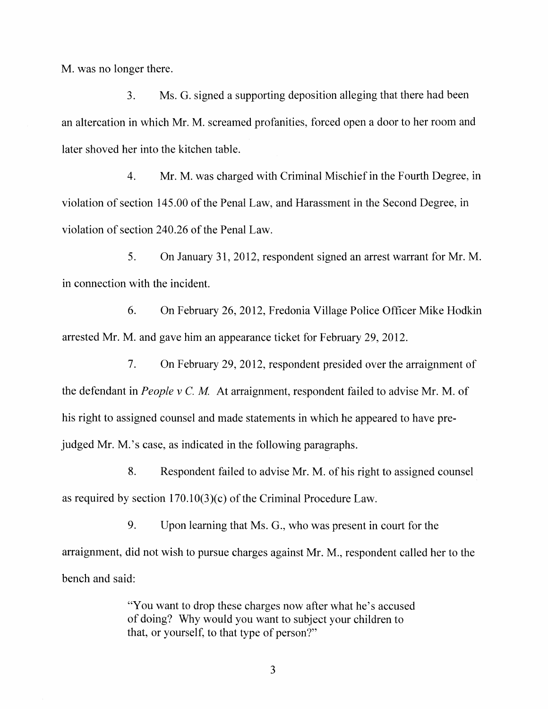M. was no longer there.

3. Ms. G. signed a supporting deposition alleging that there had been an altercation in which Mr. M. screamed profanities, forced open a door to her room and later shoved her into the kitchen table.

4. Mr. M. was charged with Criminal Mischief in the Fourth Degree, in violation of section 145.00 of the Penal Law, and Harassment in the Second Degree, in violation of section 240.26 of the Penal Law.

5. On January 31, 2012, respondent signed an arrest warrant for Mr. M. in connection with the incident.

6. On February 26, 2012, Fredonia Village Police Officer Mike Hodkin arrested Mr. M. and gave him an appearance ticket for February 29, 2012.

7. On February 29, 2012, respondent presided over the arraignment of the defendant in *People* v C. *M.* At arraignment, respondent failed to advise Mr. M. of his right to assigned counsel and made statements in which he appeared to have prejudged Mr. M.'s case, as indicated in the following paragraphs.

8. Respondent failed to advise Mr. M. of his right to assigned counsel as required by section  $170.10(3)(c)$  of the Criminal Procedure Law.

9. Upon learning that Ms. G., who was present in court for the arraignment, did not wish to pursue charges against Mr. M., respondent called her to the bench and said:

> "You want to drop these charges now after what he's accused of doing? Why would you want to subject your children to that, or yourself, to that type of person?"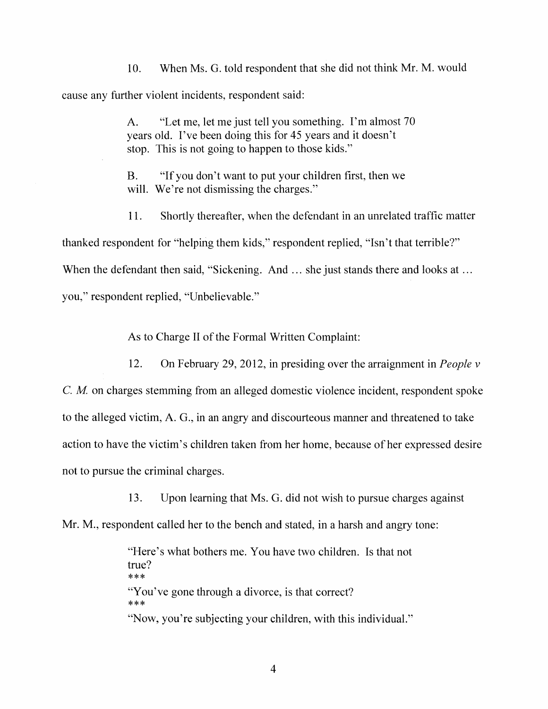10. When Ms. G. told respondent that she did not think Mr. M. would cause any further violent incidents, respondent said:

> A. "Let me, let me just tell you something. I'm almost 70 years old. I've been doing this for 45 years and it doesn't stop. This is not going to happen to those kids."

B. "If you don't want to put your children first, then we will. We're not dismissing the charges."

11. Shorily thereafter, when the defendant in an unrelated traffic matter thanked respondent for "helping them kids," respondent replied, "Isn't that terrible?" When the defendant then said, "Sickening. And ... she just stands there and looks at ... you," respondent replied, "Unbelievable."

As to Charge II of the Formal Written Complaint:

12. On February 29,2012, in presiding over the arraignment in *People* v

c. *M* on charges stemming from an alleged domestic violence incident, respondent spoke to the alleged victim, A. G., in an angry and discourteous manner and threatened to take action to have the victim's children taken from her home, because of her expressed desire not to pursue the criminal charges.

13. Upon learning that Ms. G. did not wish to pursue charges against

Mr. M., respondent called her to the bench and stated, in a harsh and angry tone:

"Here's what bothers me. You have two children. Is that not true? \*\*\* "You've gone through a divorce, is that correct? \*\*\* "Now, you're subjecting your children, with this individual."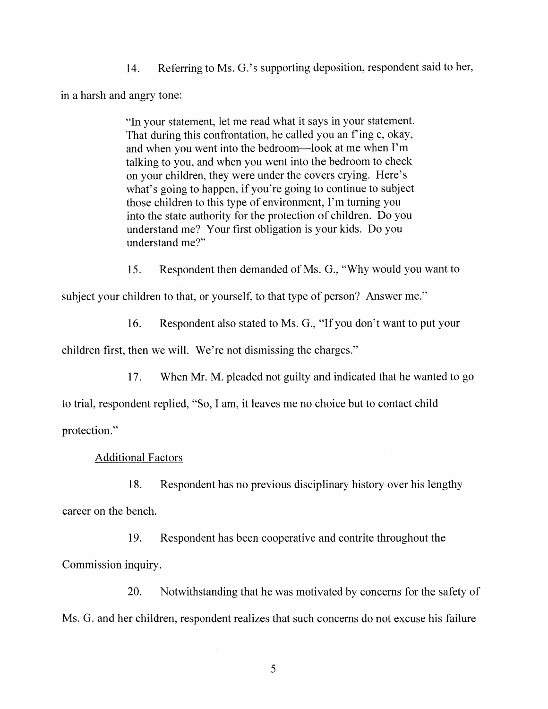14. Referring to Ms. G.'s supporting deposition, respondent said to her,

in a harsh and angry tone:

"In your statement, let Ine read what it says in your statement. That during this confrontation, he called you an f'ing c, okay, and when you went into the bedroom-look at me when I'm talking to you, and when you went into the bedroom to check on your children, they were under the covers crying. Here's what's going to happen, if you're going to continue to subject those children to this type of environment, 1'm turning you into the state authority for the protection of children. Do you understand me? Your first obligation is your kids. Do you understand me?"

15. Respondent then demanded of Ms. G., "Why would you want to

subject your children to that, or yourself, to that type of person? Answer me."

16. Respondent also stated to Ms. G., "If you don't want to put your

children first, then we will. We're not dismissing the charges."

17. When Mr. M. pleaded not guilty and indicated that he wanted to go

to trial, respondent replied, "So, I am, it leaves me no choice but to contact child protection."

Additional Factors

18. Respondent has no previous disciplinary history over his lengthy career on the bench.

19. Respondent has been cooperative and contrite throughout the Commission inquiry.

20. Notwithstanding that he was motivated by concerns for the safety of Ms. G. and her children, respondent realizes that such concerns do not excuse his failure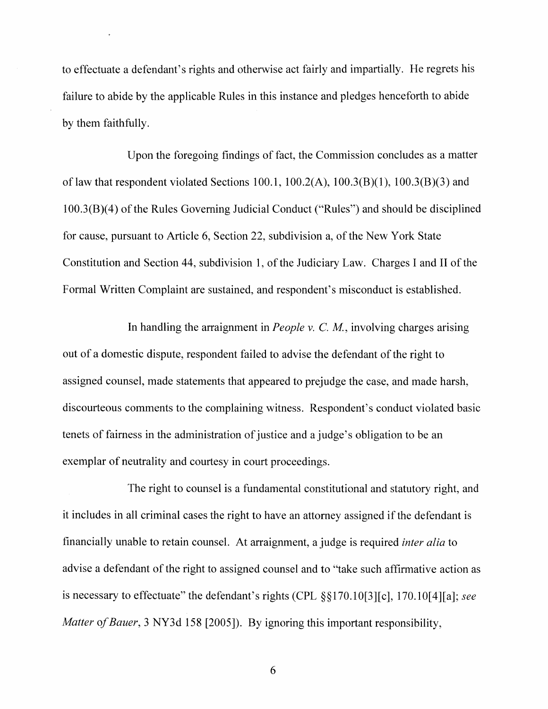to effectuate a defendant's rights and otherwise act fairly and impartially. He regrets his failure to abide by the applicable Rules in this instance and pledges henceforth to abide by them faithfully.

Upon the foregoing findings of fact, the Commission concludes as a matter of law that respondent violated Sections 100.1,  $100.2(A)$ ,  $100.3(B)(1)$ ,  $100.3(B)(3)$  and  $100.3(B)(4)$  of the Rules Governing Judicial Conduct ("Rules") and should be disciplined for cause, pursuant to Article 6, Section 22, subdivision a, of the New York State Constitution and Section 44, subdivision 1, of the Judiciary Law. Charges I and II of the Formal Written Complaint are sustained, and respondent's misconduct is established.

In handling the arraignment in *People* v. C. *M,* involving charges arising out of a domestic dispute, respondent failed to advise the defendant of the right to assigned counsel, made statements that appeared to prejudge the case, and made harsh, discourteous comments to the complaining witness. Respondent's conduct violated basic tenets of fairness in the administration of justice and a judge's obligation to be an exemplar of neutrality and courtesy in court proceedings.

The right to counsel is a fundamental constitutional and statutory right, and it includes in all criminal cases the right to have an attorney assigned if the defendant is financially unable to retain counsel. At arraignment, a judge is required *inter alia* to advise a defendant of the right to assigned counsel and to "take such affirmative action as is necessary to effectuate" the defendant's rights (CPL §§170.l0[3][c], 170.l0[4][a]; *see Matter* of *Bauer*, 3 NY3d 158 [2005]). By ignoring this important responsibility,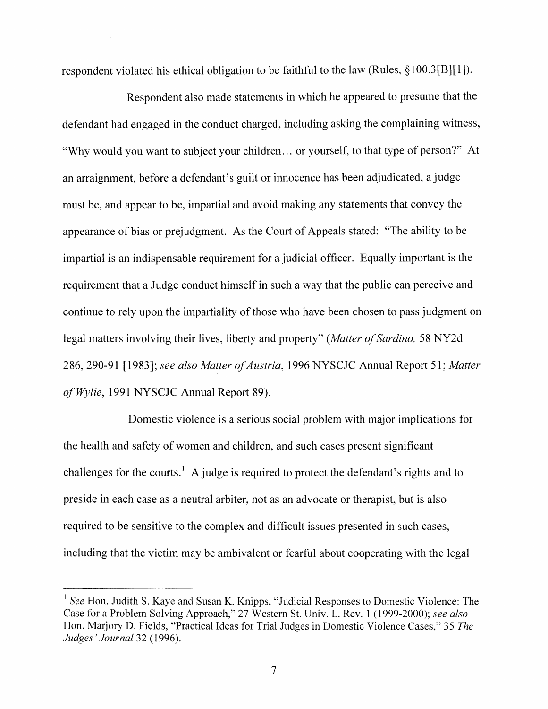respondent violated his ethical obligation to be faithful to the law (Rules, §100.3[B][I]).

Respondent also made statements in which he appeared to presume that the defendant had engaged in the conduct charged, including asking the complaining witness, "Why would you want to subject your children... or yourself, to that type of person?" At an arraignment, before a defendant's guilt or innocence has been adjudicated, a judge must be, and appear to be, impartial and avoid making any statements that convey the appearance of bias or prejudgment. As the Court of Appeals stated: "The ability to be impartial is an indispensable requirement for a judicial officer. Equally important is the requirement that a Judge conduct himself in such a way that the public can perceive and continue to rely upon the impartiality of those who have been chosen to pass judgment on legal matters involving their lives, liberty and property" (Matter of Sardino, 58 NY2d 286, 290-91 [1983]; see also Matter of Austria, 1996 NYSCJC Annual Report 51; Matter *a/Wylie,* 1991 NYSCJC Annual Report 89).

Domestic violence is a serious social problem with major implications for the health and safety of women and children, and such cases present significant challenges for the courts.<sup>1</sup> A judge is required to protect the defendant's rights and to preside in each case as a neutral arbiter, not as an advocate or therapist, but is also required to be sensitive to the complex and difficult issues presented in such cases, including that the victim may be ambivalent or fearful about cooperating with the legal

<sup>&</sup>lt;sup>1</sup> See Hon. Judith S. Kaye and Susan K. Knipps, "Judicial Responses to Domestic Violence: The Case for a Problem Solving Approach," 27 Western S1. Univ. L. Rev. 1 (1999-2000); *see also* Hon. Marjory D. Fields, "Practical Ideas for Trial Judges in Domestic Violence Cases," 35 *The Judges' Journal* 32 (1996).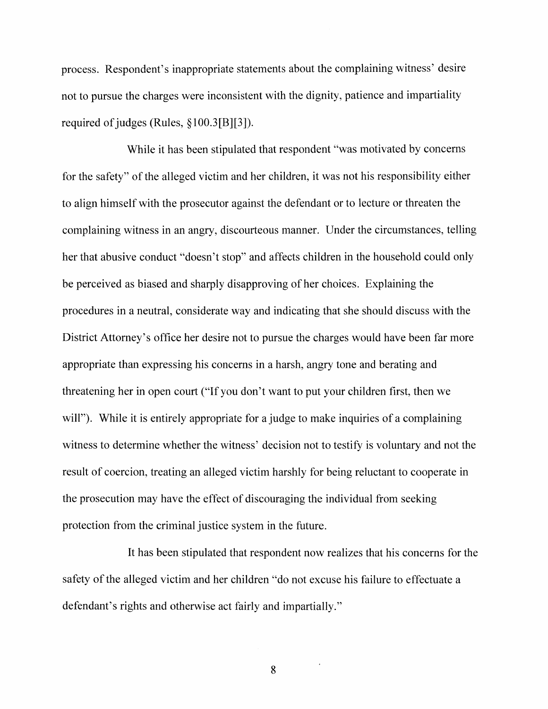process. Respondent's inappropriate statements about the complaining witness' desire not to pursue the charges were inconsistent with the dignity, patience and impartiality required of judges (Rules,  $\S 100.3[B][3]$ ).

While it has been stipulated that respondent "was motivated by concerns for the safety" of the alleged victim and her children, it was not his responsibility either to align himself with the prosecutor against the defendant or to lecture or threaten the complaining witness in an angry, discourteous manner. Under the circumstances, telling her that abusive conduct "doesn't stop" and affects children in the household could only be perceived as biased and sharply disapproving of her choices. Explaining the procedures in a neutral, considerate way and indicating that she should discuss with the District Attorney's office her desire not to pursue the charges would have been far more appropriate than expressing his concerns in a harsh, angry tone and berating and threatening her in open court ("'If you don't want to put your children first, then we will"). While it is entirely appropriate for a judge to make inquiries of a complaining witness to determine whether the witness' decision not to testify is voluntary and not the result of coercion, treating an alleged victim harshly for being reluctant to cooperate in the prosecution may have the effect of discouraging the individual from seeking protection from the criminal justice system in the future.

It has been stipulated that respondent now realizes that his concerns for the safety of the alleged victim and her children "do not excuse his failure to effectuate a defendant's rights and otherwise act fairly and impartially."